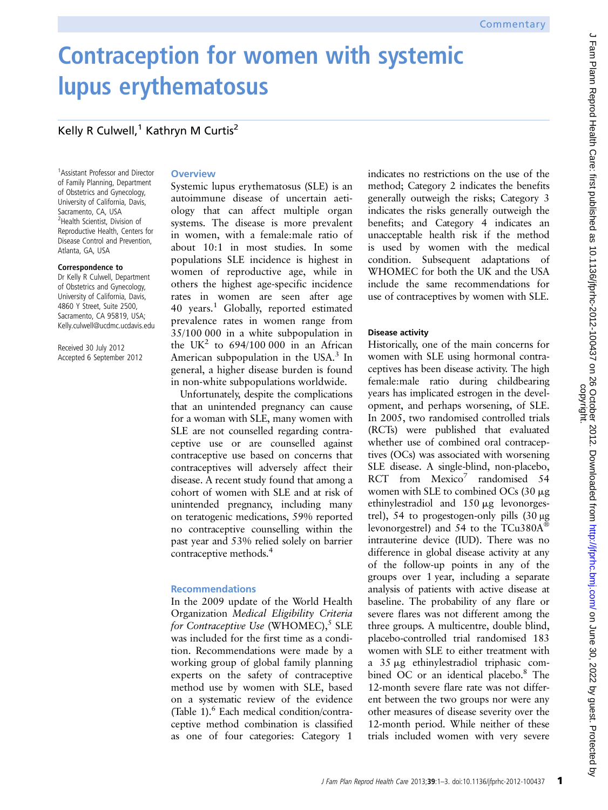# Contraception for women with systemic lupus erythematosus

## Kelly R Culwell,<sup>1</sup> Kathryn M Curtis<sup>2</sup>

1 Assistant Professor and Director of Family Planning, Department of Obstetrics and Gynecology, University of California, Davis, Sacramento, CA, USA <sup>2</sup>Health Scientist, Division of Reproductive Health, Centers for Disease Control and Prevention, Atlanta, GA, USA

#### Correspondence to

Dr Kelly R Culwell, Department of Obstetrics and Gynecology, University of California, Davis, 4860 Y Street, Suite 2500, Sacramento, CA 95819, USA; Kelly.culwell@ucdmc.ucdavis.edu

Received 30 July 2012 Accepted 6 September 2012

## **Overview**

Systemic lupus erythematosus (SLE) is an autoimmune disease of uncertain aetiology that can affect multiple organ systems. The disease is more prevalent in women, with a female:male ratio of about 10:1 in most studies. In some populations SLE incidence is highest in women of reproductive age, while in others the highest age-specific incidence rates in women are seen after age 40 years.<sup>1</sup> Globally, reported estimated prevalence rates in women range from 35/100 000 in a white subpopulation in the UK<sup>2</sup> to 694/100 000 in an African American subpopulation in the USA.<sup>3</sup> In general, a higher disease burden is found in non-white subpopulations worldwide.

Unfortunately, despite the complications that an unintended pregnancy can cause for a woman with SLE, many women with SLE are not counselled regarding contraceptive use or are counselled against contraceptive use based on concerns that contraceptives will adversely affect their disease. A recent study found that among a cohort of women with SLE and at risk of unintended pregnancy, including many on teratogenic medications, 59% reported no contraceptive counselling within the past year and 53% relied solely on barrier contraceptive methods.4

## Recommendations

In the 2009 update of the World Health Organization Medical Eligibility Criteria for Contraceptive Use (WHOMEC), $<sup>5</sup>$  SLE</sup> was included for the first time as a condition. Recommendations were made by a working group of global family planning experts on the safety of contraceptive method use by women with SLE, based on a systematic review of the evidence (Table 1). $\frac{6}{5}$  Each medical condition/contraceptive method combination is classified as one of four categories: Category 1

indicates no restrictions on the use of the method; Category 2 indicates the benefits generally outweigh the risks; Category 3 indicates the risks generally outweigh the benefits; and Category 4 indicates an unacceptable health risk if the method is used by women with the medical condition. Subsequent adaptations of WHOMEC for both the UK and the USA include the same recommendations for use of contraceptives by women with SLE.

## Disease activity

Historically, one of the main concerns for women with SLE using hormonal contraceptives has been disease activity. The high female:male ratio during childbearing years has implicated estrogen in the development, and perhaps worsening, of SLE. In 2005, two randomised controlled trials (RCTs) were published that evaluated whether use of combined oral contraceptives (OCs) was associated with worsening SLE disease. A single-blind, non-placebo, RCT from  $Mexico<sup>7</sup>$  randomised 54 women with SLE to combined OCs  $(30 \mu g)$ ethinylestradiol and 150 mg levonorgestrel), 54 to progestogen-only pills (30 μg levonorgestrel) and 54 to the TCu380A® intrauterine device (IUD). There was no difference in global disease activity at any of the follow-up points in any of the groups over 1 year, including a separate analysis of patients with active disease at baseline. The probability of any flare or severe flares was not different among the three groups. A multicentre, double blind, placebo-controlled trial randomised 183 women with SLE to either treatment with a 35 mg ethinylestradiol triphasic combined OC or an identical placebo.<sup>8</sup> The 12-month severe flare rate was not different between the two groups nor were any other measures of disease severity over the 12-month period. While neither of these trials included women with very severe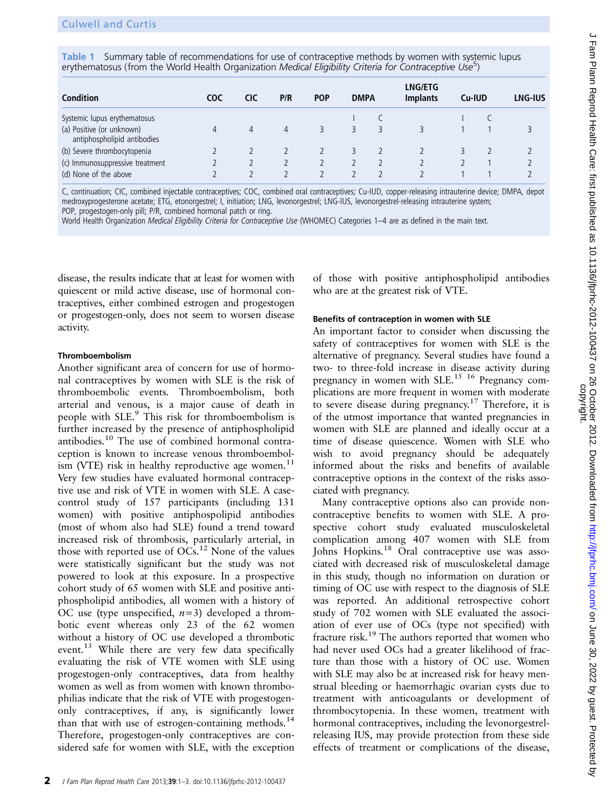Table 1 Summary table of recommendations for use of contraceptive methods by women with systemic lupus erythematosus (from the World Health Organization Medical Eligibility Criteria for Contraceptive Use<sup>5</sup>)

| <b>Condition</b>                                         | coc | CIC | P/R      | <b>POP</b> | <b>DMPA</b> |  | <b>LNG/ETG</b><br><b>Implants</b> | Cu-IUD |  | <b>LNG-IUS</b> |
|----------------------------------------------------------|-----|-----|----------|------------|-------------|--|-----------------------------------|--------|--|----------------|
| Systemic lupus erythematosus                             |     |     |          |            |             |  |                                   |        |  |                |
| (a) Positive (or unknown)<br>antiphospholipid antibodies | 4   | 4   | $\Delta$ |            |             |  |                                   |        |  |                |
| (b) Severe thrombocytopenia                              |     |     |          |            |             |  |                                   |        |  |                |
| (c) Immunosuppressive treatment                          |     |     |          |            |             |  |                                   |        |  |                |
| (d) None of the above                                    |     |     |          |            |             |  |                                   |        |  |                |

C, continuation; CIC, combined injectable contraceptives; COC, combined oral contraceptives; Cu-IUD, copper-releasing intrauterine device; DMPA, depot medroxyprogesterone acetate; ETG, etonorgestrel; I, initiation; LNG, levonorgestrel; LNG-IUS, levonorgestrel-releasing intrauterine system; POP, progestogen-only pill; P/R, combined hormonal patch or ring.

World Health Organization Medical Eligibility Criteria for Contraceptive Use (WHOMEC) Categories 1-4 are as defined in the main text.

disease, the results indicate that at least for women with quiescent or mild active disease, use of hormonal contraceptives, either combined estrogen and progestogen or progestogen-only, does not seem to worsen disease activity.

#### Thromboembolism

Another significant area of concern for use of hormonal contraceptives by women with SLE is the risk of thromboembolic events. Thromboembolism, both arterial and venous, is a major cause of death in people with SLE.<sup>9</sup> This risk for thromboembolism is further increased by the presence of antiphospholipid antibodies.<sup>10</sup> The use of combined hormonal contraception is known to increase venous thromboembolism (VTE) risk in healthy reproductive age women.<sup>11</sup> Very few studies have evaluated hormonal contraceptive use and risk of VTE in women with SLE. A casecontrol study of 157 participants (including 131 women) with positive antiphospolipid antibodies (most of whom also had SLE) found a trend toward increased risk of thrombosis, particularly arterial, in those with reported use of  $OCs$ .<sup>12</sup> None of the values were statistically significant but the study was not powered to look at this exposure. In a prospective cohort study of 65 women with SLE and positive antiphospholipid antibodies, all women with a history of OC use (type unspecified,  $n=3$ ) developed a thrombotic event whereas only 23 of the 62 women without a history of OC use developed a thrombotic event.<sup>13</sup> While there are very few data specifically evaluating the risk of VTE women with SLE using progestogen-only contraceptives, data from healthy women as well as from women with known thrombophilias indicate that the risk of VTE with progestogenonly contraceptives, if any, is significantly lower than that with use of estrogen-containing methods. $14$ Therefore, progestogen-only contraceptives are considered safe for women with SLE, with the exception

of those with positive antiphospholipid antibodies who are at the greatest risk of VTE.

#### Benefits of contraception in women with SLE

An important factor to consider when discussing the safety of contraceptives for women with SLE is the alternative of pregnancy. Several studies have found a two- to three-fold increase in disease activity during pregnancy in women with SLE.<sup>15 16</sup> Pregnancy complications are more frequent in women with moderate to severe disease during pregnancy.17 Therefore, it is of the utmost importance that wanted pregnancies in women with SLE are planned and ideally occur at a time of disease quiescence. Women with SLE who wish to avoid pregnancy should be adequately informed about the risks and benefits of available contraceptive options in the context of the risks associated with pregnancy.

Many contraceptive options also can provide noncontraceptive benefits to women with SLE. A prospective cohort study evaluated musculoskeletal complication among 407 women with SLE from Johns Hopkins.<sup>18</sup> Oral contraceptive use was associated with decreased risk of musculoskeletal damage in this study, though no information on duration or timing of OC use with respect to the diagnosis of SLE was reported. An additional retrospective cohort study of 702 women with SLE evaluated the association of ever use of OCs (type not specified) with fracture risk.<sup>19</sup> The authors reported that women who had never used OCs had a greater likelihood of fracture than those with a history of OC use. Women with SLE may also be at increased risk for heavy menstrual bleeding or haemorrhagic ovarian cysts due to treatment with anticoagulants or development of thrombocytopenia. In these women, treatment with hormonal contraceptives, including the levonorgestrelreleasing IUS, may provide protection from these side effects of treatment or complications of the disease,